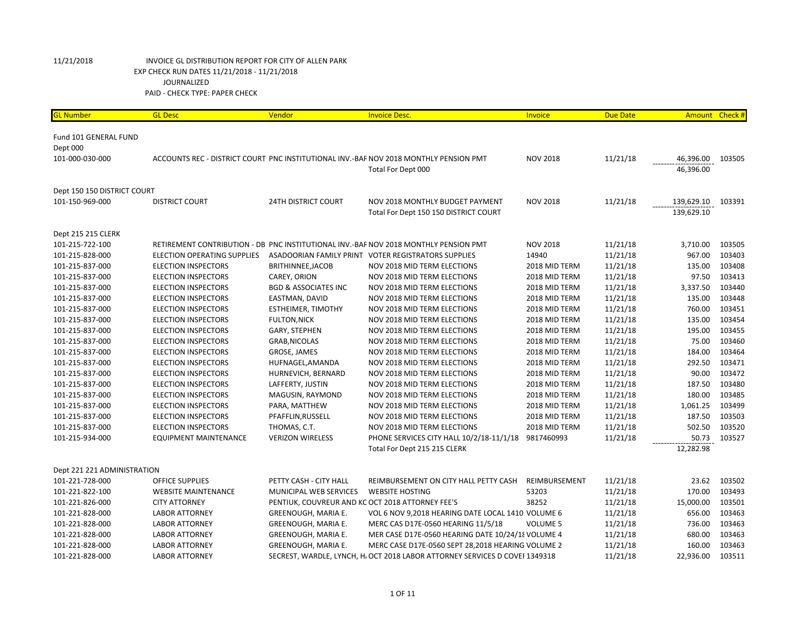| <b>GL Number</b>                  | <b>GL Desc</b>                     | Vendor                                           | <b>Invoice Desc.</b>                                                                                        | Invoice         | <b>Due Date</b> | <b>Amount</b>            | Check # |
|-----------------------------------|------------------------------------|--------------------------------------------------|-------------------------------------------------------------------------------------------------------------|-----------------|-----------------|--------------------------|---------|
| Fund 101 GENERAL FUND<br>Dept 000 |                                    |                                                  |                                                                                                             |                 |                 |                          |         |
| 101-000-030-000                   |                                    |                                                  | ACCOUNTS REC - DISTRICT COURT PNC INSTITUTIONAL INV.-BAF NOV 2018 MONTHLY PENSION PMT<br>Total For Dept 000 | <b>NOV 2018</b> | 11/21/18        | 46,396.00<br>46,396.00   | 103505  |
| Dept 150 150 DISTRICT COURT       |                                    |                                                  |                                                                                                             |                 |                 |                          |         |
| 101-150-969-000                   | <b>DISTRICT COURT</b>              | <b>24TH DISTRICT COURT</b>                       | NOV 2018 MONTHLY BUDGET PAYMENT<br>Total For Dept 150 150 DISTRICT COURT                                    | <b>NOV 2018</b> | 11/21/18        | 139,629.10<br>139,629.10 | 103391  |
| Dept 215 215 CLERK                |                                    |                                                  |                                                                                                             |                 |                 |                          |         |
| 101-215-722-100                   |                                    |                                                  | RETIREMENT CONTRIBUTION - DB PNC INSTITUTIONAL INV.-BAF NOV 2018 MONTHLY PENSION PMT                        | <b>NOV 2018</b> | 11/21/18        | 3,710.00                 | 103505  |
| 101-215-828-000                   | <b>ELECTION OPERATING SUPPLIES</b> |                                                  | ASADOORIAN FAMILY PRINT VOTER REGISTRATORS SUPPLIES                                                         | 14940           | 11/21/18        | 967.00                   | 103403  |
| 101-215-837-000                   | <b>ELECTION INSPECTORS</b>         | BRITHINNEE, JACOB                                | NOV 2018 MID TERM ELECTIONS                                                                                 | 2018 MID TERM   | 11/21/18        | 135.00                   | 103408  |
| 101-215-837-000                   | <b>ELECTION INSPECTORS</b>         | CAREY, ORION                                     | <b>NOV 2018 MID TERM ELECTIONS</b>                                                                          | 2018 MID TERM   | 11/21/18        | 97.50                    | 103413  |
| 101-215-837-000                   | <b>ELECTION INSPECTORS</b>         | <b>BGD &amp; ASSOCIATES INC</b>                  | NOV 2018 MID TERM ELECTIONS                                                                                 | 2018 MID TERM   | 11/21/18        | 3,337.50                 | 103440  |
| 101-215-837-000                   | <b>ELECTION INSPECTORS</b>         | EASTMAN, DAVID                                   | NOV 2018 MID TERM ELECTIONS                                                                                 | 2018 MID TERM   | 11/21/18        | 135.00                   | 103448  |
| 101-215-837-000                   | <b>ELECTION INSPECTORS</b>         | ESTHEIMER, TIMOTHY                               | NOV 2018 MID TERM ELECTIONS                                                                                 | 2018 MID TERM   | 11/21/18        | 760.00                   | 103451  |
| 101-215-837-000                   | <b>ELECTION INSPECTORS</b>         | <b>FULTON, NICK</b>                              | NOV 2018 MID TERM ELECTIONS                                                                                 | 2018 MID TERM   | 11/21/18        | 135.00                   | 103454  |
| 101-215-837-000                   | <b>ELECTION INSPECTORS</b>         | GARY, STEPHEN                                    | NOV 2018 MID TERM ELECTIONS                                                                                 | 2018 MID TERM   | 11/21/18        | 195.00                   | 103455  |
| 101-215-837-000                   | <b>ELECTION INSPECTORS</b>         | GRAB, NICOLAS                                    | NOV 2018 MID TERM ELECTIONS                                                                                 | 2018 MID TERM   | 11/21/18        | 75.00                    | 103460  |
| 101-215-837-000                   | <b>ELECTION INSPECTORS</b>         | GROSE, JAMES                                     | NOV 2018 MID TERM ELECTIONS                                                                                 | 2018 MID TERM   | 11/21/18        | 184.00                   | 103464  |
| 101-215-837-000                   | <b>ELECTION INSPECTORS</b>         | HUFNAGEL, AMANDA                                 | NOV 2018 MID TERM ELECTIONS                                                                                 | 2018 MID TERM   | 11/21/18        | 292.50                   | 103471  |
| 101-215-837-000                   | <b>ELECTION INSPECTORS</b>         | HURNEVICH, BERNARD                               | NOV 2018 MID TERM ELECTIONS                                                                                 | 2018 MID TERM   | 11/21/18        | 90.00                    | 103472  |
| 101-215-837-000                   | <b>ELECTION INSPECTORS</b>         | LAFFERTY, JUSTIN                                 | NOV 2018 MID TERM ELECTIONS                                                                                 | 2018 MID TERM   | 11/21/18        | 187.50                   | 103480  |
| 101-215-837-000                   | <b>ELECTION INSPECTORS</b>         | MAGUSIN, RAYMOND                                 | <b>NOV 2018 MID TERM ELECTIONS</b>                                                                          | 2018 MID TERM   | 11/21/18        | 180.00                   | 103485  |
| 101-215-837-000                   | <b>ELECTION INSPECTORS</b>         | PARA, MATTHEW                                    | NOV 2018 MID TERM ELECTIONS                                                                                 | 2018 MID TERM   | 11/21/18        | 1,061.25                 | 103499  |
| 101-215-837-000                   | <b>ELECTION INSPECTORS</b>         | PFAFFLIN, RUSSELL                                | NOV 2018 MID TERM ELECTIONS                                                                                 | 2018 MID TERM   | 11/21/18        | 187.50                   | 103503  |
| 101-215-837-000                   | <b>ELECTION INSPECTORS</b>         | THOMAS, C.T.                                     | NOV 2018 MID TERM ELECTIONS                                                                                 | 2018 MID TERM   | 11/21/18        | 502.50                   | 103520  |
| 101-215-934-000                   | <b>EQUIPMENT MAINTENANCE</b>       | <b>VERIZON WIRELESS</b>                          | PHONE SERVICES CITY HALL 10/2/18-11/1/18                                                                    | 9817460993      | 11/21/18        | 50.73                    | 103527  |
|                                   |                                    |                                                  | Total For Dept 215 215 CLERK                                                                                |                 |                 | 12,282.98                |         |
| Dept 221 221 ADMINISTRATION       |                                    |                                                  |                                                                                                             |                 |                 |                          |         |
| 101-221-728-000                   | <b>OFFICE SUPPLIES</b>             | PETTY CASH - CITY HALL                           | REIMBURSEMENT ON CITY HALL PETTY CASH                                                                       | REIMBURSEMENT   | 11/21/18        | 23.62                    | 103502  |
| 101-221-822-100                   | <b>WEBSITE MAINTENANCE</b>         | MUNICIPAL WEB SERVICES                           | <b>WEBSITE HOSTING</b>                                                                                      | 53203           | 11/21/18        | 170.00                   | 103493  |
| 101-221-826-000                   | <b>CITY ATTORNEY</b>               | PENTIUK, COUVREUR AND KC OCT 2018 ATTORNEY FEE'S |                                                                                                             | 38252           | 11/21/18        | 15,000.00                | 103501  |
| 101-221-828-000                   | <b>LABOR ATTORNEY</b>              | GREENOUGH, MARIA E.                              | VOL 6 NOV 9,2018 HEARING DATE LOCAL 1410 VOLUME 6                                                           |                 | 11/21/18        | 656.00                   | 103463  |
| 101-221-828-000                   | <b>LABOR ATTORNEY</b>              | GREENOUGH, MARIA E.                              | MERC CAS D17E-0560 HEARING 11/5/18                                                                          | <b>VOLUME 5</b> | 11/21/18        | 736.00                   | 103463  |
| 101-221-828-000                   | <b>LABOR ATTORNEY</b>              | GREENOUGH, MARIA E.                              | MER CASE D17E-0560 HEARING DATE 10/24/18 VOLUME 4                                                           |                 | 11/21/18        | 680.00                   | 103463  |
| 101-221-828-000                   | <b>LABOR ATTORNEY</b>              | GREENOUGH, MARIA E.                              | MERC CASE D17E-0560 SEPT 28,2018 HEARING VOLUME 2                                                           |                 | 11/21/18        | 160.00                   | 103463  |
| 101-221-828-000                   | <b>LABOR ATTORNEY</b>              |                                                  | SECREST, WARDLE, LYNCH, H. OCT 2018 LABOR ATTORNEY SERVICES D COVEI 1349318                                 |                 | 11/21/18        | 22,936.00                | 103511  |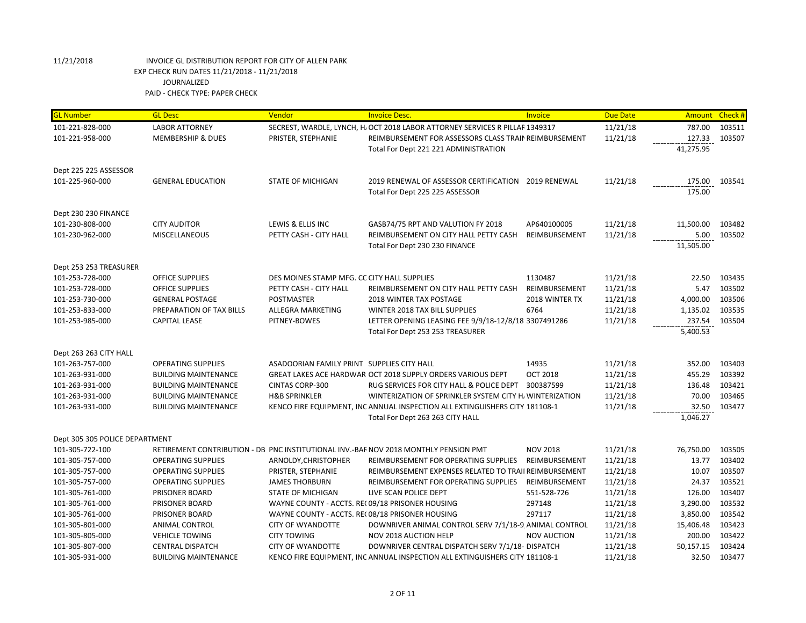| <b>GL Number</b>                          | <b>GL Desc</b>               | Vendor                                          | <b>Invoice Desc.</b>                                                                 | Invoice            | <b>Due Date</b> | Amount Check # |        |
|-------------------------------------------|------------------------------|-------------------------------------------------|--------------------------------------------------------------------------------------|--------------------|-----------------|----------------|--------|
| 101-221-828-000                           | <b>LABOR ATTORNEY</b>        |                                                 | SECREST, WARDLE, LYNCH, H. OCT 2018 LABOR ATTORNEY SERVICES R PILLAF 1349317         |                    | 11/21/18        | 787.00         | 103511 |
| 101-221-958-000                           | <b>MEMBERSHIP &amp; DUES</b> | PRISTER, STEPHANIE                              | REIMBURSEMENT FOR ASSESSORS CLASS TRAIN REIMBURSEMENT                                |                    | 11/21/18        | 127.33         | 103507 |
|                                           |                              |                                                 | Total For Dept 221 221 ADMINISTRATION                                                |                    |                 | 41,275.95      |        |
|                                           |                              |                                                 |                                                                                      |                    |                 |                |        |
| Dept 225 225 ASSESSOR                     |                              |                                                 |                                                                                      |                    |                 |                |        |
| 101-225-960-000                           | <b>GENERAL EDUCATION</b>     | <b>STATE OF MICHIGAN</b>                        | 2019 RENEWAL OF ASSESSOR CERTIFICATION 2019 RENEWAL                                  |                    | 11/21/18        | 175.00         | 103541 |
|                                           |                              |                                                 | Total For Dept 225 225 ASSESSOR                                                      |                    |                 | 175.00         |        |
| Dept 230 230 FINANCE                      |                              |                                                 |                                                                                      |                    |                 |                |        |
| 101-230-808-000                           | <b>CITY AUDITOR</b>          | LEWIS & ELLIS INC                               | GASB74/75 RPT AND VALUTION FY 2018                                                   | AP640100005        | 11/21/18        | 11,500.00      | 103482 |
| 101-230-962-000                           | <b>MISCELLANEOUS</b>         | PETTY CASH - CITY HALL                          | REIMBURSEMENT ON CITY HALL PETTY CASH                                                | REIMBURSEMENT      | 11/21/18        | 5.00           | 103502 |
|                                           |                              |                                                 | Total For Dept 230 230 FINANCE                                                       |                    |                 | 11,505.00      |        |
|                                           |                              |                                                 |                                                                                      |                    |                 |                |        |
| Dept 253 253 TREASURER                    |                              |                                                 |                                                                                      |                    |                 |                |        |
| 101-253-728-000                           | <b>OFFICE SUPPLIES</b>       | DES MOINES STAMP MFG. CC CITY HALL SUPPLIES     |                                                                                      | 1130487            | 11/21/18        | 22.50          | 103435 |
| 101-253-728-000                           | OFFICE SUPPLIES              | PETTY CASH - CITY HALL                          | REIMBURSEMENT ON CITY HALL PETTY CASH                                                | REIMBURSEMENT      | 11/21/18        | 5.47           | 103502 |
| 101-253-730-000                           | <b>GENERAL POSTAGE</b>       | <b>POSTMASTER</b>                               | <b>2018 WINTER TAX POSTAGE</b>                                                       | 2018 WINTER TX     | 11/21/18        | 4,000.00       | 103506 |
| 101-253-833-000                           | PREPARATION OF TAX BILLS     | ALLEGRA MARKETING                               | WINTER 2018 TAX BILL SUPPLIES                                                        | 6764               | 11/21/18        | 1,135.02       | 103535 |
| 101-253-985-000                           | <b>CAPITAL LEASE</b>         | PITNEY-BOWES                                    | LETTER OPENING LEASING FEE 9/9/18-12/8/18 3307491286                                 |                    | 11/21/18        | 237.54         | 103504 |
|                                           |                              |                                                 | Total For Dept 253 253 TREASURER                                                     |                    |                 | 5,400.53       |        |
|                                           |                              |                                                 |                                                                                      |                    |                 |                |        |
| Dept 263 263 CITY HALL<br>101-263-757-000 | <b>OPERATING SUPPLIES</b>    | ASADOORIAN FAMILY PRINT SUPPLIES CITY HALL      |                                                                                      | 14935              | 11/21/18        | 352.00         | 103403 |
| 101-263-931-000                           | <b>BUILDING MAINTENANCE</b>  |                                                 | GREAT LAKES ACE HARDWAR OCT 2018 SUPPLY ORDERS VARIOUS DEPT                          | <b>OCT 2018</b>    | 11/21/18        | 455.29         | 103392 |
| 101-263-931-000                           | <b>BUILDING MAINTENANCE</b>  | <b>CINTAS CORP-300</b>                          | RUG SERVICES FOR CITY HALL & POLICE DEPT                                             | 300387599          | 11/21/18        | 136.48         | 103421 |
| 101-263-931-000                           | <b>BUILDING MAINTENANCE</b>  | <b>H&amp;B SPRINKLER</b>                        | WINTERIZATION OF SPRINKLER SYSTEM CITY H. WINTERIZATION                              |                    | 11/21/18        | 70.00          | 103465 |
| 101-263-931-000                           | <b>BUILDING MAINTENANCE</b>  |                                                 | KENCO FIRE EQUIPMENT, INC ANNUAL INSPECTION ALL EXTINGUISHERS CITY 181108-1          |                    | 11/21/18        | 32.50          | 103477 |
|                                           |                              |                                                 | Total For Dept 263 263 CITY HALL                                                     |                    |                 | 1,046.27       |        |
|                                           |                              |                                                 |                                                                                      |                    |                 |                |        |
| Dept 305 305 POLICE DEPARTMENT            |                              |                                                 |                                                                                      |                    |                 |                |        |
| 101-305-722-100                           |                              |                                                 | RETIREMENT CONTRIBUTION - DB PNC INSTITUTIONAL INV.-BAF NOV 2018 MONTHLY PENSION PMT | <b>NOV 2018</b>    | 11/21/18        | 76,750.00      | 103505 |
| 101-305-757-000                           | <b>OPERATING SUPPLIES</b>    | ARNOLDY, CHRISTOPHER                            | REIMBURSEMENT FOR OPERATING SUPPLIES                                                 | REIMBURSEMENT      | 11/21/18        | 13.77          | 103402 |
| 101-305-757-000                           | <b>OPERATING SUPPLIES</b>    | PRISTER, STEPHANIE                              | REIMBURSEMENT EXPENSES RELATED TO TRAII REIMBURSEMENT                                |                    | 11/21/18        | 10.07          | 103507 |
| 101-305-757-000                           | <b>OPERATING SUPPLIES</b>    | <b>JAMES THORBURN</b>                           | REIMBURSEMENT FOR OPERATING SUPPLIES                                                 | REIMBURSEMENT      | 11/21/18        | 24.37          | 103521 |
| 101-305-761-000                           | PRISONER BOARD               | <b>STATE OF MICHIGAN</b>                        | LIVE SCAN POLICE DEPT                                                                | 551-528-726        | 11/21/18        | 126.00         | 103407 |
| 101-305-761-000                           | PRISONER BOARD               | WAYNE COUNTY - ACCTS. RE(09/18 PRISONER HOUSING |                                                                                      | 297148             | 11/21/18        | 3,290.00       | 103532 |
| 101-305-761-000                           | PRISONER BOARD               |                                                 | WAYNE COUNTY - ACCTS. REC08/18 PRISONER HOUSING                                      | 297117             | 11/21/18        | 3,850.00       | 103542 |
| 101-305-801-000                           | <b>ANIMAL CONTROL</b>        | <b>CITY OF WYANDOTTE</b>                        | DOWNRIVER ANIMAL CONTROL SERV 7/1/18-9 ANIMAL CONTROL                                |                    | 11/21/18        | 15,406.48      | 103423 |
| 101-305-805-000                           | <b>VEHICLE TOWING</b>        | <b>CITY TOWING</b>                              | NOV 2018 AUCTION HELP                                                                | <b>NOV AUCTION</b> | 11/21/18        | 200.00         | 103422 |
| 101-305-807-000                           | <b>CENTRAL DISPATCH</b>      | <b>CITY OF WYANDOTTE</b>                        | DOWNRIVER CENTRAL DISPATCH SERV 7/1/18- DISPATCH                                     |                    | 11/21/18        | 50,157.15      | 103424 |
| 101-305-931-000                           | <b>BUILDING MAINTENANCE</b>  |                                                 | KENCO FIRE EQUIPMENT, INC ANNUAL INSPECTION ALL EXTINGUISHERS CITY 181108-1          |                    | 11/21/18        | 32.50          | 103477 |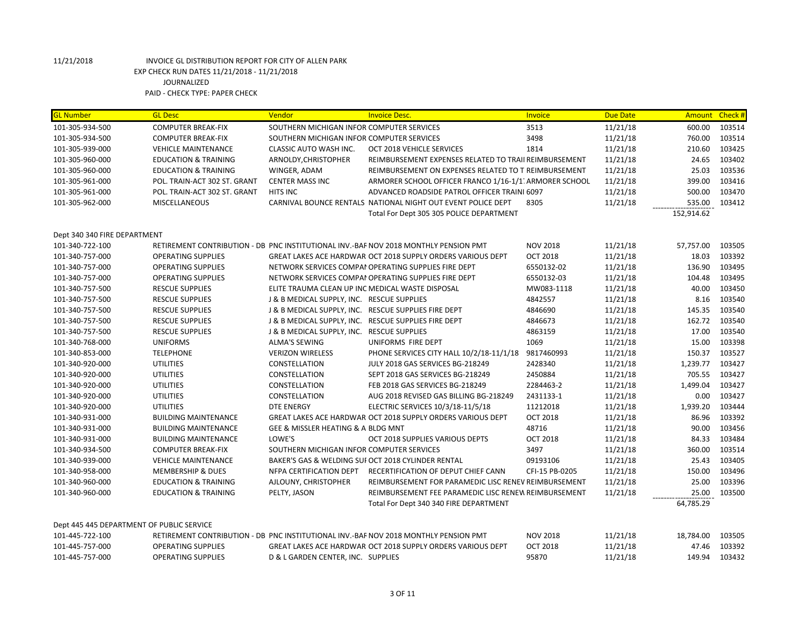| <b>GL Number</b>             | <b>GL Desc</b>                            | Vendor                                           | <b>Invoice Desc.</b>                                                                 | Invoice         | <b>Due Date</b> | Amount Check # |        |
|------------------------------|-------------------------------------------|--------------------------------------------------|--------------------------------------------------------------------------------------|-----------------|-----------------|----------------|--------|
| 101-305-934-500              | <b>COMPUTER BREAK-FIX</b>                 | SOUTHERN MICHIGAN INFOR COMPUTER SERVICES        |                                                                                      | 3513            | 11/21/18        | 600.00         | 103514 |
| 101-305-934-500              | <b>COMPUTER BREAK-FIX</b>                 | SOUTHERN MICHIGAN INFOR COMPUTER SERVICES        |                                                                                      | 3498            | 11/21/18        | 760.00         | 103514 |
| 101-305-939-000              | <b>VEHICLE MAINTENANCE</b>                | CLASSIC AUTO WASH INC.                           | OCT 2018 VEHICLE SERVICES                                                            | 1814            | 11/21/18        | 210.60         | 103425 |
| 101-305-960-000              | <b>EDUCATION &amp; TRAINING</b>           | ARNOLDY, CHRISTOPHER                             | REIMBURSEMENT EXPENSES RELATED TO TRAII REIMBURSEMENT                                |                 | 11/21/18        | 24.65          | 103402 |
| 101-305-960-000              | <b>EDUCATION &amp; TRAINING</b>           | WINGER, ADAM                                     | REIMBURSEMENT ON EXPENSES RELATED TO T REIMBURSEMENT                                 |                 | 11/21/18        | 25.03          | 103536 |
| 101-305-961-000              | POL. TRAIN-ACT 302 ST. GRANT              | <b>CENTER MASS INC</b>                           | ARMORER SCHOOL OFFICER FRANCO 1/16-1/1 ARMORER SCHOOL                                |                 | 11/21/18        | 399.00         | 103416 |
| 101-305-961-000              | POL. TRAIN-ACT 302 ST. GRANT              | <b>HITS INC</b>                                  | ADVANCED ROADSIDE PATROL OFFICER TRAINI 6097                                         |                 | 11/21/18        | 500.00         | 103470 |
| 101-305-962-000              | <b>MISCELLANEOUS</b>                      |                                                  | CARNIVAL BOUNCE RENTALS NATIONAL NIGHT OUT EVENT POLICE DEPT                         | 8305            | 11/21/18        | 535.00         | 103412 |
|                              |                                           |                                                  | Total For Dept 305 305 POLICE DEPARTMENT                                             |                 |                 | 152,914.62     |        |
| Dept 340 340 FIRE DEPARTMENT |                                           |                                                  |                                                                                      |                 |                 |                |        |
| 101-340-722-100              |                                           |                                                  | RETIREMENT CONTRIBUTION - DB PNC INSTITUTIONAL INV.-BAF NOV 2018 MONTHLY PENSION PMT | <b>NOV 2018</b> | 11/21/18        | 57,757.00      | 103505 |
| 101-340-757-000              | <b>OPERATING SUPPLIES</b>                 |                                                  | <b>GREAT LAKES ACE HARDWAR OCT 2018 SUPPLY ORDERS VARIOUS DEPT</b>                   | <b>OCT 2018</b> | 11/21/18        | 18.03          | 103392 |
| 101-340-757-000              | <b>OPERATING SUPPLIES</b>                 |                                                  | NETWORK SERVICES COMPAI OPERATING SUPPLIES FIRE DEPT                                 | 6550132-02      | 11/21/18        | 136.90         | 103495 |
| 101-340-757-000              | <b>OPERATING SUPPLIES</b>                 |                                                  | NETWORK SERVICES COMPAI OPERATING SUPPLIES FIRE DEPT                                 | 6550132-03      | 11/21/18        | 104.48         | 103495 |
| 101-340-757-500              | <b>RESCUE SUPPLIES</b>                    | ELITE TRAUMA CLEAN UP INC MEDICAL WASTE DISPOSAL |                                                                                      | MW083-1118      | 11/21/18        | 40.00          | 103450 |
| 101-340-757-500              | <b>RESCUE SUPPLIES</b>                    | J & B MEDICAL SUPPLY, INC. RESCUE SUPPLIES       |                                                                                      | 4842557         | 11/21/18        | 8.16           | 103540 |
| 101-340-757-500              | <b>RESCUE SUPPLIES</b>                    |                                                  | J & B MEDICAL SUPPLY, INC. RESCUE SUPPLIES FIRE DEPT                                 | 4846690         | 11/21/18        | 145.35         | 103540 |
| 101-340-757-500              | <b>RESCUE SUPPLIES</b>                    |                                                  | J & B MEDICAL SUPPLY, INC. RESCUE SUPPLIES FIRE DEPT                                 | 4846673         | 11/21/18        | 162.72         | 103540 |
| 101-340-757-500              | <b>RESCUE SUPPLIES</b>                    | J & B MEDICAL SUPPLY, INC. RESCUE SUPPLIES       |                                                                                      | 4863159         | 11/21/18        | 17.00          | 103540 |
| 101-340-768-000              | <b>UNIFORMS</b>                           | <b>ALMA'S SEWING</b>                             | UNIFORMS FIRE DEPT                                                                   | 1069            | 11/21/18        | 15.00          | 103398 |
| 101-340-853-000              | <b>TELEPHONE</b>                          | <b>VERIZON WIRELESS</b>                          | PHONE SERVICES CITY HALL 10/2/18-11/1/18                                             | 9817460993      | 11/21/18        | 150.37         | 103527 |
| 101-340-920-000              | <b>UTILITIES</b>                          | CONSTELLATION                                    | JULY 2018 GAS SERVICES BG-218249                                                     | 2428340         | 11/21/18        | 1,239.77       | 103427 |
| 101-340-920-000              | <b>UTILITIES</b>                          | CONSTELLATION                                    | SEPT 2018 GAS SERVICES BG-218249                                                     | 2450884         | 11/21/18        | 705.55         | 103427 |
| 101-340-920-000              | <b>UTILITIES</b>                          | CONSTELLATION                                    | FEB 2018 GAS SERVICES BG-218249                                                      | 2284463-2       | 11/21/18        | 1,499.04       | 103427 |
| 101-340-920-000              | <b>UTILITIES</b>                          | CONSTELLATION                                    | AUG 2018 REVISED GAS BILLING BG-218249                                               | 2431133-1       | 11/21/18        | 0.00           | 103427 |
| 101-340-920-000              | <b>UTILITIES</b>                          | <b>DTE ENERGY</b>                                | ELECTRIC SERVICES 10/3/18-11/5/18                                                    | 11212018        | 11/21/18        | 1,939.20       | 103444 |
| 101-340-931-000              | <b>BUILDING MAINTENANCE</b>               |                                                  | GREAT LAKES ACE HARDWAR OCT 2018 SUPPLY ORDERS VARIOUS DEPT                          | <b>OCT 2018</b> | 11/21/18        | 86.96          | 103392 |
| 101-340-931-000              | <b>BUILDING MAINTENANCE</b>               | GEE & MISSLER HEATING & A BLDG MNT               |                                                                                      | 48716           | 11/21/18        | 90.00          | 103456 |
| 101-340-931-000              | <b>BUILDING MAINTENANCE</b>               | LOWE'S                                           | OCT 2018 SUPPLIES VARIOUS DEPTS                                                      | <b>OCT 2018</b> | 11/21/18        | 84.33          | 103484 |
| 101-340-934-500              | <b>COMPUTER BREAK-FIX</b>                 | SOUTHERN MICHIGAN INFOR COMPUTER SERVICES        |                                                                                      | 3497            | 11/21/18        | 360.00         | 103514 |
| 101-340-939-000              | <b>VEHICLE MAINTENANCE</b>                |                                                  | BAKER'S GAS & WELDING SUI OCT 2018 CYLINDER RENTAL                                   | 09193106        | 11/21/18        | 25.43          | 103405 |
| 101-340-958-000              | <b>MEMBERSHIP &amp; DUES</b>              | NFPA CERTIFICATION DEPT                          | RECERTIFICATION OF DEPUT CHIEF CANN                                                  | CFI-15 PB-0205  | 11/21/18        | 150.00         | 103496 |
| 101-340-960-000              | <b>EDUCATION &amp; TRAINING</b>           | AJLOUNY, CHRISTOPHER                             | REIMBURSEMENT FOR PARAMEDIC LISC RENEV REIMBURSEMENT                                 |                 | 11/21/18        | 25.00          | 103396 |
| 101-340-960-000              | <b>EDUCATION &amp; TRAINING</b>           | PELTY, JASON                                     | REIMBURSEMENT FEE PARAMEDIC LISC RENEW REIMBURSEMENT                                 |                 | 11/21/18        | 25.00          | 103500 |
|                              |                                           |                                                  | Total For Dept 340 340 FIRE DEPARTMENT                                               |                 |                 | 64,785.29      |        |
|                              |                                           |                                                  |                                                                                      |                 |                 |                |        |
|                              | Dept 445 445 DEPARTMENT OF PUBLIC SERVICE |                                                  |                                                                                      |                 |                 |                |        |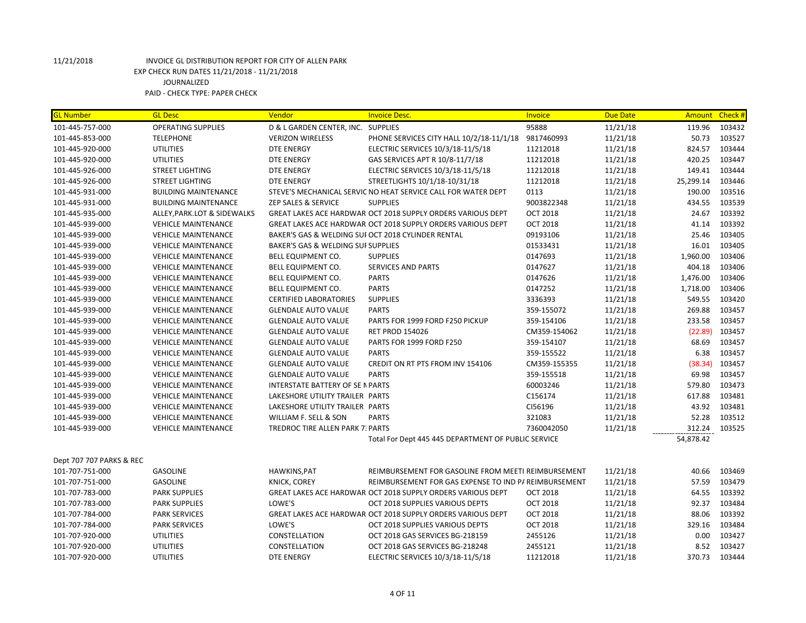| <b>GL Number</b>         | <b>GL Desc</b>              | Vendor                                  | <b>Invoice Desc.</b>                                          | Invoice         | <b>Due Date</b> |           | Amount Check # |
|--------------------------|-----------------------------|-----------------------------------------|---------------------------------------------------------------|-----------------|-----------------|-----------|----------------|
| 101-445-757-000          | <b>OPERATING SUPPLIES</b>   | D & L GARDEN CENTER, INC. SUPPLIES      |                                                               | 95888           | 11/21/18        | 119.96    | 103432         |
| 101-445-853-000          | <b>TELEPHONE</b>            | <b>VERIZON WIRELESS</b>                 | PHONE SERVICES CITY HALL 10/2/18-11/1/18                      | 9817460993      | 11/21/18        | 50.73     | 103527         |
| 101-445-920-000          | <b>UTILITIES</b>            | <b>DTE ENERGY</b>                       | ELECTRIC SERVICES 10/3/18-11/5/18                             | 11212018        | 11/21/18        | 824.57    | 103444         |
| 101-445-920-000          | <b>UTILITIES</b>            | <b>DTE ENERGY</b>                       | GAS SERVICES APT R 10/8-11/7/18                               | 11212018        | 11/21/18        | 420.25    | 103447         |
| 101-445-926-000          | <b>STREET LIGHTING</b>      | <b>DTE ENERGY</b>                       | ELECTRIC SERVICES 10/3/18-11/5/18                             | 11212018        | 11/21/18        | 149.41    | 103444         |
| 101-445-926-000          | <b>STREET LIGHTING</b>      | <b>DTE ENERGY</b>                       | STREETLIGHTS 10/1/18-10/31/18                                 | 11212018        | 11/21/18        | 25,299.14 | 103446         |
| 101-445-931-000          | <b>BUILDING MAINTENANCE</b> |                                         | STEVE'S MECHANICAL SERVIC NO HEAT SERVICE CALL FOR WATER DEPT | 0113            | 11/21/18        | 190.00    | 103516         |
| 101-445-931-000          | <b>BUILDING MAINTENANCE</b> | ZEP SALES & SERVICE                     | <b>SUPPLIES</b>                                               | 9003822348      | 11/21/18        | 434.55    | 103539         |
| 101-445-935-000          | ALLEY, PARK.LOT & SIDEWALKS |                                         | GREAT LAKES ACE HARDWAR OCT 2018 SUPPLY ORDERS VARIOUS DEPT   | <b>OCT 2018</b> | 11/21/18        | 24.67     | 103392         |
| 101-445-939-000          | <b>VEHICLE MAINTENANCE</b>  |                                         | GREAT LAKES ACE HARDWAR OCT 2018 SUPPLY ORDERS VARIOUS DEPT   | <b>OCT 2018</b> | 11/21/18        | 41.14     | 103392         |
| 101-445-939-000          | <b>VEHICLE MAINTENANCE</b>  |                                         | BAKER'S GAS & WELDING SUI OCT 2018 CYLINDER RENTAL            | 09193106        | 11/21/18        | 25.46     | 103405         |
| 101-445-939-000          | <b>VEHICLE MAINTENANCE</b>  | BAKER'S GAS & WELDING SUI SUPPLIES      |                                                               | 01533431        | 11/21/18        | 16.01     | 103405         |
| 101-445-939-000          | <b>VEHICLE MAINTENANCE</b>  | <b>BELL EQUIPMENT CO.</b>               | <b>SUPPLIES</b>                                               | 0147693         | 11/21/18        | 1,960.00  | 103406         |
| 101-445-939-000          | <b>VEHICLE MAINTENANCE</b>  | <b>BELL EQUIPMENT CO.</b>               | <b>SERVICES AND PARTS</b>                                     | 0147627         | 11/21/18        | 404.18    | 103406         |
| 101-445-939-000          | <b>VEHICLE MAINTENANCE</b>  | BELL EQUIPMENT CO.                      | <b>PARTS</b>                                                  | 0147626         | 11/21/18        | 1,476.00  | 103406         |
| 101-445-939-000          | <b>VEHICLE MAINTENANCE</b>  | <b>BELL EQUIPMENT CO.</b>               | <b>PARTS</b>                                                  | 0147252         | 11/21/18        | 1,718.00  | 103406         |
| 101-445-939-000          | <b>VEHICLE MAINTENANCE</b>  | <b>CERTIFIED LABORATORIES</b>           | <b>SUPPLIES</b>                                               | 3336393         | 11/21/18        | 549.55    | 103420         |
| 101-445-939-000          | <b>VEHICLE MAINTENANCE</b>  | <b>GLENDALE AUTO VALUE</b>              | <b>PARTS</b>                                                  | 359-155072      | 11/21/18        | 269.88    | 103457         |
| 101-445-939-000          | <b>VEHICLE MAINTENANCE</b>  | <b>GLENDALE AUTO VALUE</b>              | PARTS FOR 1999 FORD F250 PICKUP                               | 359-154106      | 11/21/18        | 233.58    | 103457         |
| 101-445-939-000          | <b>VEHICLE MAINTENANCE</b>  | <b>GLENDALE AUTO VALUE</b>              | <b>RET PROD 154026</b>                                        | CM359-154062    | 11/21/18        | (22.89)   | 103457         |
| 101-445-939-000          | <b>VEHICLE MAINTENANCE</b>  | <b>GLENDALE AUTO VALUE</b>              | PARTS FOR 1999 FORD F250                                      | 359-154107      | 11/21/18        | 68.69     | 103457         |
| 101-445-939-000          | <b>VEHICLE MAINTENANCE</b>  | <b>GLENDALE AUTO VALUE</b>              | <b>PARTS</b>                                                  | 359-155522      | 11/21/18        | 6.38      | 103457         |
| 101-445-939-000          | <b>VEHICLE MAINTENANCE</b>  | <b>GLENDALE AUTO VALUE</b>              | CREDIT ON RT PTS FROM INV 154106                              | CM359-155355    | 11/21/18        | (38.34)   | 103457         |
| 101-445-939-000          | <b>VEHICLE MAINTENANCE</b>  | <b>GLENDALE AUTO VALUE</b>              | <b>PARTS</b>                                                  | 359-155518      | 11/21/18        | 69.98     | 103457         |
| 101-445-939-000          | <b>VEHICLE MAINTENANCE</b>  | <b>INTERSTATE BATTERY OF SE N PARTS</b> |                                                               | 60003246        | 11/21/18        | 579.80    | 103473         |
| 101-445-939-000          | <b>VEHICLE MAINTENANCE</b>  | LAKESHORE UTILITY TRAILER PARTS         |                                                               | C156174         | 11/21/18        | 617.88    | 103481         |
| 101-445-939-000          | <b>VEHICLE MAINTENANCE</b>  | LAKESHORE UTILITY TRAILER PARTS         |                                                               | CI56196         | 11/21/18        | 43.92     | 103481         |
| 101-445-939-000          | <b>VEHICLE MAINTENANCE</b>  | WILLIAM F. SELL & SON                   | <b>PARTS</b>                                                  | 321083          | 11/21/18        | 52.28     | 103512         |
| 101-445-939-000          | <b>VEHICLE MAINTENANCE</b>  | <b>TREDROC TIRE ALLEN PARK 7: PARTS</b> |                                                               | 7360042050      | 11/21/18        | 312.24    | 103525         |
|                          |                             |                                         | Total For Dept 445 445 DEPARTMENT OF PUBLIC SERVICE           |                 |                 | 54,878.42 |                |
| Dept 707 707 PARKS & REC |                             |                                         |                                                               |                 |                 |           |                |
| 101-707-751-000          | <b>GASOLINE</b>             | HAWKINS, PAT                            | REIMBURSEMENT FOR GASOLINE FROM MEETI REIMBURSEMENT           |                 | 11/21/18        | 40.66     | 103469         |
| 101-707-751-000          | <b>GASOLINE</b>             | KNICK, COREY                            | REIMBURSEMENT FOR GAS EXPENSE TO IND P/ REIMBURSEMENT         |                 | 11/21/18        | 57.59     | 103479         |
| 101-707-783-000          | <b>PARK SUPPLIES</b>        |                                         | GREAT LAKES ACE HARDWAR OCT 2018 SUPPLY ORDERS VARIOUS DEPT   | <b>OCT 2018</b> | 11/21/18        | 64.55     | 103392         |
| 101-707-783-000          | <b>PARK SUPPLIES</b>        | LOWE'S                                  | OCT 2018 SUPPLIES VARIOUS DEPTS                               | <b>OCT 2018</b> | 11/21/18        | 92.37     | 103484         |
| 101-707-784-000          | <b>PARK SERVICES</b>        |                                         | GREAT LAKES ACE HARDWAR OCT 2018 SUPPLY ORDERS VARIOUS DEPT   | <b>OCT 2018</b> | 11/21/18        | 88.06     | 103392         |
| 101-707-784-000          | <b>PARK SERVICES</b>        | LOWE'S                                  | OCT 2018 SUPPLIES VARIOUS DEPTS                               | <b>OCT 2018</b> | 11/21/18        | 329.16    | 103484         |
| 101-707-920-000          | <b>UTILITIES</b>            | CONSTELLATION                           | OCT 2018 GAS SERVICES BG-218159                               | 2455126         | 11/21/18        | 0.00      | 103427         |
| 101-707-920-000          | <b>UTILITIES</b>            | CONSTELLATION                           | OCT 2018 GAS SERVICES BG-218248                               | 2455121         | 11/21/18        | 8.52      | 103427         |
| 101-707-920-000          | <b>UTILITIES</b>            | DTE ENERGY                              | ELECTRIC SERVICES 10/3/18-11/5/18                             | 11212018        | 11/21/18        | 370.73    | 103444         |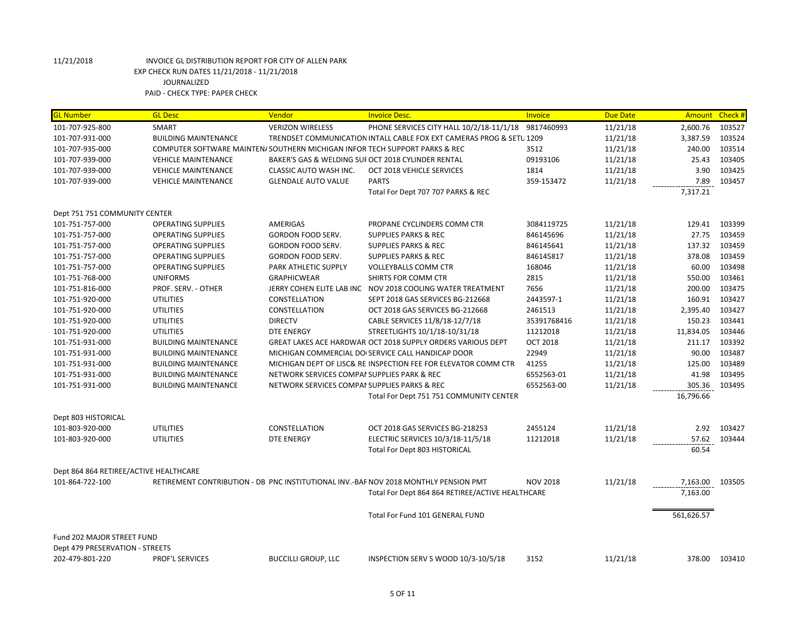| <b>GL Number</b>                       | <b>GL Desc</b>              | Vendor                                                                      | <b>Invoice Desc.</b>                                                                 | Invoice         | <b>Due Date</b> | Amount Check # |        |
|----------------------------------------|-----------------------------|-----------------------------------------------------------------------------|--------------------------------------------------------------------------------------|-----------------|-----------------|----------------|--------|
| 101-707-925-800                        | SMART                       | <b>VERIZON WIRELESS</b>                                                     | PHONE SERVICES CITY HALL 10/2/18-11/1/18                                             | 9817460993      | 11/21/18        | 2,600.76       | 103527 |
| 101-707-931-000                        | <b>BUILDING MAINTENANCE</b> |                                                                             | TRENDSET COMMUNICATION INTALL CABLE FOX EXT CAMERAS PROG & SETU 1209                 |                 | 11/21/18        | 3,387.59       | 103524 |
| 101-707-935-000                        |                             | COMPUTER SOFTWARE MAINTEN/ SOUTHERN MICHIGAN INFOR TECH SUPPORT PARKS & REC |                                                                                      | 3512            | 11/21/18        | 240.00         | 103514 |
| 101-707-939-000                        | <b>VEHICLE MAINTENANCE</b>  |                                                                             | BAKER'S GAS & WELDING SUI OCT 2018 CYLINDER RENTAL                                   | 09193106        | 11/21/18        | 25.43          | 103405 |
| 101-707-939-000                        | <b>VEHICLE MAINTENANCE</b>  | CLASSIC AUTO WASH INC.                                                      | OCT 2018 VEHICLE SERVICES                                                            | 1814            | 11/21/18        | 3.90           | 103425 |
| 101-707-939-000                        | <b>VEHICLE MAINTENANCE</b>  | <b>GLENDALE AUTO VALUE</b>                                                  | <b>PARTS</b>                                                                         | 359-153472      | 11/21/18        | 7.89           | 103457 |
|                                        |                             |                                                                             | Total For Dept 707 707 PARKS & REC                                                   |                 |                 | 7,317.21       |        |
| Dept 751 751 COMMUNITY CENTER          |                             |                                                                             |                                                                                      |                 |                 |                |        |
| 101-751-757-000                        | <b>OPERATING SUPPLIES</b>   | <b>AMERIGAS</b>                                                             | PROPANE CYCLINDERS COMM CTR                                                          | 3084119725      | 11/21/18        | 129.41         | 103399 |
| 101-751-757-000                        | <b>OPERATING SUPPLIES</b>   | GORDON FOOD SERV.                                                           | <b>SUPPLIES PARKS &amp; REC</b>                                                      | 846145696       | 11/21/18        | 27.75          | 103459 |
| 101-751-757-000                        | <b>OPERATING SUPPLIES</b>   | GORDON FOOD SERV.                                                           | <b>SUPPLIES PARKS &amp; REC</b>                                                      | 846145641       | 11/21/18        | 137.32         | 103459 |
| 101-751-757-000                        | <b>OPERATING SUPPLIES</b>   | GORDON FOOD SERV.                                                           | <b>SUPPLIES PARKS &amp; REC</b>                                                      | 846145817       | 11/21/18        | 378.08         | 103459 |
| 101-751-757-000                        | <b>OPERATING SUPPLIES</b>   | PARK ATHLETIC SUPPLY                                                        | <b>VOLLEYBALLS COMM CTR</b>                                                          | 168046          | 11/21/18        | 60.00          | 103498 |
| 101-751-768-000                        | <b>UNIFORMS</b>             | <b>GRAPHICWEAR</b>                                                          | SHIRTS FOR COMM CTR                                                                  | 2815            | 11/21/18        | 550.00         | 103461 |
| 101-751-816-000                        | PROF. SERV. - OTHER         |                                                                             | JERRY COHEN ELITE LAB INC NOV 2018 COOLING WATER TREATMENT                           | 7656            | 11/21/18        | 200.00         | 103475 |
| 101-751-920-000                        | <b>UTILITIES</b>            | CONSTELLATION                                                               | SEPT 2018 GAS SERVICES BG-212668                                                     | 2443597-1       | 11/21/18        | 160.91         | 103427 |
| 101-751-920-000                        | <b>UTILITIES</b>            | CONSTELLATION                                                               | OCT 2018 GAS SERVICES BG-212668                                                      | 2461513         | 11/21/18        | 2,395.40       | 103427 |
| 101-751-920-000                        | <b>UTILITIES</b>            | <b>DIRECTV</b>                                                              | CABLE SERVICES 11/8/18-12/7/18                                                       | 35391768416     | 11/21/18        | 150.23         | 103441 |
| 101-751-920-000                        | <b>UTILITIES</b>            | <b>DTE ENERGY</b>                                                           | STREETLIGHTS 10/1/18-10/31/18                                                        | 11212018        | 11/21/18        | 11,834.05      | 103446 |
| 101-751-931-000                        | <b>BUILDING MAINTENANCE</b> |                                                                             | GREAT LAKES ACE HARDWAR OCT 2018 SUPPLY ORDERS VARIOUS DEPT                          | <b>OCT 2018</b> | 11/21/18        | 211.17         | 103392 |
| 101-751-931-000                        | <b>BUILDING MAINTENANCE</b> |                                                                             | MICHIGAN COMMERCIAL DO SERVICE CALL HANDICAP DOOR                                    | 22949           | 11/21/18        | 90.00          | 103487 |
| 101-751-931-000                        | <b>BUILDING MAINTENANCE</b> |                                                                             | MICHIGAN DEPT OF LISC& RE INSPECTION FEE FOR ELEVATOR COMM CTR                       | 41255           | 11/21/18        | 125.00         | 103489 |
| 101-751-931-000                        | <b>BUILDING MAINTENANCE</b> | NETWORK SERVICES COMPAI SUPPLIES PARK & REC                                 |                                                                                      | 6552563-01      | 11/21/18        | 41.98          | 103495 |
| 101-751-931-000                        | <b>BUILDING MAINTENANCE</b> | NETWORK SERVICES COMPAI SUPPLIES PARKS & REC                                |                                                                                      | 6552563-00      | 11/21/18        | 305.36         | 103495 |
|                                        |                             |                                                                             | Total For Dept 751 751 COMMUNITY CENTER                                              |                 |                 | 16,796.66      |        |
| Dept 803 HISTORICAL                    |                             |                                                                             |                                                                                      |                 |                 |                |        |
| 101-803-920-000                        | <b>UTILITIES</b>            | CONSTELLATION                                                               | OCT 2018 GAS SERVICES BG-218253                                                      | 2455124         | 11/21/18        | 2.92           | 103427 |
| 101-803-920-000                        | <b>UTILITIES</b>            | <b>DTE ENERGY</b>                                                           | ELECTRIC SERVICES 10/3/18-11/5/18                                                    | 11212018        | 11/21/18        | 57.62          | 103444 |
|                                        |                             |                                                                             | Total For Dept 803 HISTORICAL                                                        |                 |                 | 60.54          |        |
| Dept 864 864 RETIREE/ACTIVE HEALTHCARE |                             |                                                                             |                                                                                      |                 |                 |                |        |
| 101-864-722-100                        |                             |                                                                             | RETIREMENT CONTRIBUTION - DB PNC INSTITUTIONAL INV.-BAF NOV 2018 MONTHLY PENSION PMT | <b>NOV 2018</b> | 11/21/18        | 7,163.00       | 103505 |
|                                        |                             |                                                                             | Total For Dept 864 864 RETIREE/ACTIVE HEALTHCARE                                     |                 |                 | 7,163.00       |        |
|                                        |                             |                                                                             | Total For Fund 101 GENERAL FUND                                                      |                 |                 | 561,626.57     |        |
| Fund 202 MAJOR STREET FUND             |                             |                                                                             |                                                                                      |                 |                 |                |        |
| Dept 479 PRESERVATION - STREETS        |                             |                                                                             |                                                                                      |                 |                 |                |        |
| 202-479-801-220                        | <b>PROF'L SERVICES</b>      | <b>BUCCILLI GROUP, LLC</b>                                                  | INSPECTION SERV S WOOD 10/3-10/5/18                                                  | 3152            | 11/21/18        | 378.00         | 103410 |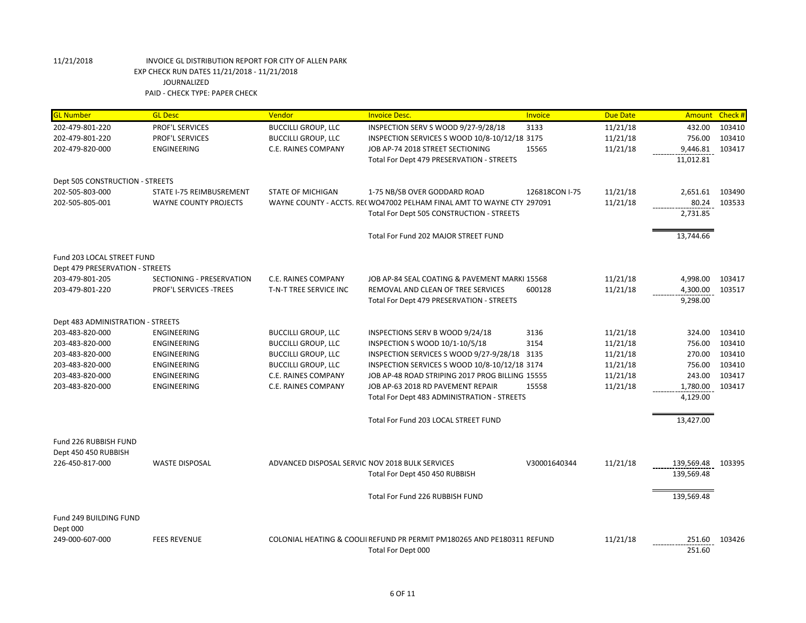| <b>GL Number</b>                  | <b>GL Desc</b>            | Vendor                                          | <b>Invoice Desc.</b>                                                    | Invoice        | <b>Due Date</b> | Amount            | Check # |
|-----------------------------------|---------------------------|-------------------------------------------------|-------------------------------------------------------------------------|----------------|-----------------|-------------------|---------|
| 202-479-801-220                   | PROF'L SERVICES           | <b>BUCCILLI GROUP, LLC</b>                      | INSPECTION SERV S WOOD 9/27-9/28/18                                     | 3133           | 11/21/18        | 432.00            | 103410  |
| 202-479-801-220                   | <b>PROF'L SERVICES</b>    | <b>BUCCILLI GROUP, LLC</b>                      | INSPECTION SERVICES S WOOD 10/8-10/12/18 3175                           |                | 11/21/18        | 756.00            | 103410  |
| 202-479-820-000                   | <b>ENGINEERING</b>        | C.E. RAINES COMPANY                             | JOB AP-74 2018 STREET SECTIONING                                        | 15565          | 11/21/18        | 9,446.81          | 103417  |
|                                   |                           |                                                 | Total For Dept 479 PRESERVATION - STREETS                               |                |                 | 11,012.81         |         |
| Dept 505 CONSTRUCTION - STREETS   |                           |                                                 |                                                                         |                |                 |                   |         |
| 202-505-803-000                   | STATE I-75 REIMBUSREMENT  | <b>STATE OF MICHIGAN</b>                        | 1-75 NB/SB OVER GODDARD ROAD                                            | 126818CON I-75 | 11/21/18        | 2,651.61 103490   |         |
| 202-505-805-001                   | WAYNE COUNTY PROJECTS     |                                                 | WAYNE COUNTY - ACCTS. RE(WO47002 PELHAM FINAL AMT TO WAYNE CTY 297091   |                | 11/21/18        | 80.24             | 103533  |
|                                   |                           |                                                 | Total For Dept 505 CONSTRUCTION - STREETS                               |                |                 | 2,731.85          |         |
|                                   |                           |                                                 | Total For Fund 202 MAJOR STREET FUND                                    |                |                 | 13,744.66         |         |
| Fund 203 LOCAL STREET FUND        |                           |                                                 |                                                                         |                |                 |                   |         |
| Dept 479 PRESERVATION - STREETS   |                           |                                                 |                                                                         |                |                 |                   |         |
| 203-479-801-205                   | SECTIONING - PRESERVATION | C.E. RAINES COMPANY                             | JOB AP-84 SEAL COATING & PAVEMENT MARKI 15568                           |                | 11/21/18        | 4,998.00          | 103417  |
| 203-479-801-220                   | PROF'L SERVICES -TREES    | T-N-T TREE SERVICE INC                          | REMOVAL AND CLEAN OF TREE SERVICES                                      | 600128         | 11/21/18        | 4,300.00          | 103517  |
|                                   |                           |                                                 | Total For Dept 479 PRESERVATION - STREETS                               |                |                 | 9,298.00          |         |
| Dept 483 ADMINISTRATION - STREETS |                           |                                                 |                                                                         |                |                 |                   |         |
| 203-483-820-000                   | ENGINEERING               | <b>BUCCILLI GROUP, LLC</b>                      | INSPECTIONS SERV B WOOD 9/24/18                                         | 3136           | 11/21/18        | 324.00            | 103410  |
| 203-483-820-000                   | <b>ENGINEERING</b>        | <b>BUCCILLI GROUP, LLC</b>                      | INSPECTION S WOOD 10/1-10/5/18                                          | 3154           | 11/21/18        | 756.00            | 103410  |
| 203-483-820-000                   | <b>ENGINEERING</b>        | <b>BUCCILLI GROUP, LLC</b>                      | INSPECTION SERVICES S WOOD 9/27-9/28/18 3135                            |                | 11/21/18        | 270.00            | 103410  |
| 203-483-820-000                   | ENGINEERING               | <b>BUCCILLI GROUP, LLC</b>                      | INSPECTION SERVICES S WOOD 10/8-10/12/18 3174                           |                | 11/21/18        | 756.00            | 103410  |
| 203-483-820-000                   | <b>ENGINEERING</b>        | C.E. RAINES COMPANY                             | JOB AP-48 ROAD STRIPING 2017 PROG BILLING 15555                         |                | 11/21/18        | 243.00            | 103417  |
| 203-483-820-000                   | <b>ENGINEERING</b>        | C.E. RAINES COMPANY                             | JOB AP-63 2018 RD PAVEMENT REPAIR                                       | 15558          | 11/21/18        | 1,780.00          | 103417  |
|                                   |                           |                                                 | Total For Dept 483 ADMINISTRATION - STREETS                             |                |                 | 4,129.00          |         |
|                                   |                           |                                                 | Total For Fund 203 LOCAL STREET FUND                                    |                |                 | 13,427.00         |         |
| Fund 226 RUBBISH FUND             |                           |                                                 |                                                                         |                |                 |                   |         |
| Dept 450 450 RUBBISH              |                           |                                                 |                                                                         |                |                 |                   |         |
| 226-450-817-000                   | <b>WASTE DISPOSAL</b>     | ADVANCED DISPOSAL SERVIC NOV 2018 BULK SERVICES |                                                                         | V30001640344   | 11/21/18        | 139,569.48 103395 |         |
|                                   |                           |                                                 | Total For Dept 450 450 RUBBISH                                          |                |                 | 139,569.48        |         |
|                                   |                           |                                                 | Total For Fund 226 RUBBISH FUND                                         |                |                 | 139,569.48        |         |
| Fund 249 BUILDING FUND            |                           |                                                 |                                                                         |                |                 |                   |         |
| Dept 000                          |                           |                                                 |                                                                         |                |                 |                   |         |
| 249-000-607-000                   | <b>FEES REVENUE</b>       |                                                 | COLONIAL HEATING & COOLII REFUND PR PERMIT PM180265 AND PE180311 REFUND |                | 11/21/18        | 251.60            | 103426  |
|                                   |                           |                                                 | Total For Dept 000                                                      |                |                 | 251.60            |         |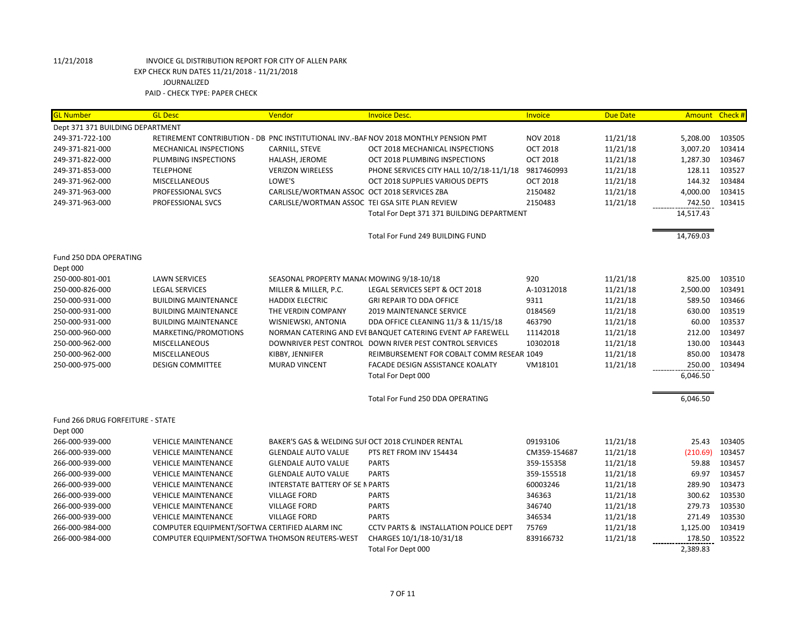| <b>GL Number</b>                 | <b>GL Desc</b>                                 | Vendor                                          | <b>Invoice Desc.</b>                                                                 | Invoice         | <b>Due Date</b> | Amount Check # |        |
|----------------------------------|------------------------------------------------|-------------------------------------------------|--------------------------------------------------------------------------------------|-----------------|-----------------|----------------|--------|
| Dept 371 371 BUILDING DEPARTMENT |                                                |                                                 |                                                                                      |                 |                 |                |        |
| 249-371-722-100                  |                                                |                                                 | RETIREMENT CONTRIBUTION - DB PNC INSTITUTIONAL INV.-BAF NOV 2018 MONTHLY PENSION PMT | <b>NOV 2018</b> | 11/21/18        | 5,208.00       | 103505 |
| 249-371-821-000                  | MECHANICAL INSPECTIONS                         | CARNILL, STEVE                                  | OCT 2018 MECHANICAL INSPECTIONS                                                      | <b>OCT 2018</b> | 11/21/18        | 3,007.20       | 103414 |
| 249-371-822-000                  | PLUMBING INSPECTIONS                           | HALASH, JEROME                                  | OCT 2018 PLUMBING INSPECTIONS                                                        | <b>OCT 2018</b> | 11/21/18        | 1,287.30       | 103467 |
| 249-371-853-000                  | <b>TELEPHONE</b>                               | <b>VERIZON WIRELESS</b>                         | PHONE SERVICES CITY HALL 10/2/18-11/1/18                                             | 9817460993      | 11/21/18        | 128.11         | 103527 |
| 249-371-962-000                  | <b>MISCELLANEOUS</b>                           | LOWE'S                                          | OCT 2018 SUPPLIES VARIOUS DEPTS                                                      | <b>OCT 2018</b> | 11/21/18        | 144.32         | 103484 |
| 249-371-963-000                  | PROFESSIONAL SVCS                              | CARLISLE/WORTMAN ASSOC OCT 2018 SERVICES ZBA    |                                                                                      | 2150482         | 11/21/18        | 4,000.00       | 103415 |
| 249-371-963-000                  | PROFESSIONAL SVCS                              | CARLISLE/WORTMAN ASSOC TEI GSA SITE PLAN REVIEW |                                                                                      | 2150483         | 11/21/18        | 742.50         | 103415 |
|                                  |                                                |                                                 | Total For Dept 371 371 BUILDING DEPARTMENT                                           |                 |                 | 14,517.43      |        |
|                                  |                                                |                                                 | Total For Fund 249 BUILDING FUND                                                     |                 |                 | 14,769.03      |        |
| Fund 250 DDA OPERATING           |                                                |                                                 |                                                                                      |                 |                 |                |        |
| Dept 000                         |                                                |                                                 |                                                                                      |                 |                 |                |        |
| 250-000-801-001                  | <b>LAWN SERVICES</b>                           | SEASONAL PROPERTY MANA(MOWING 9/18-10/18        |                                                                                      | 920             | 11/21/18        | 825.00         | 103510 |
| 250-000-826-000                  | <b>LEGAL SERVICES</b>                          | MILLER & MILLER, P.C.                           | LEGAL SERVICES SEPT & OCT 2018                                                       | A-10312018      | 11/21/18        | 2,500.00       | 103491 |
| 250-000-931-000                  | <b>BUILDING MAINTENANCE</b>                    | <b>HADDIX ELECTRIC</b>                          | <b>GRI REPAIR TO DDA OFFICE</b>                                                      | 9311            | 11/21/18        | 589.50         | 103466 |
| 250-000-931-000                  | <b>BUILDING MAINTENANCE</b>                    | THE VERDIN COMPANY                              | <b>2019 MAINTENANCE SERVICE</b>                                                      | 0184569         | 11/21/18        | 630.00         | 103519 |
| 250-000-931-000                  | <b>BUILDING MAINTENANCE</b>                    | WISNIEWSKI, ANTONIA                             | DDA OFFICE CLEANING 11/3 & 11/15/18                                                  | 463790          | 11/21/18        | 60.00          | 103537 |
| 250-000-960-000                  | MARKETING/PROMOTIONS                           |                                                 | NORMAN CATERING AND EVE BANQUET CATERING EVENT AP FAREWELL                           | 11142018        | 11/21/18        | 212.00         | 103497 |
| 250-000-962-000                  | <b>MISCELLANEOUS</b>                           |                                                 | DOWNRIVER PEST CONTROL DOWN RIVER PEST CONTROL SERVICES                              | 10302018        | 11/21/18        | 130.00         | 103443 |
| 250-000-962-000                  | MISCELLANEOUS                                  | KIBBY, JENNIFER                                 | REIMBURSEMENT FOR COBALT COMM RESEAR 1049                                            |                 | 11/21/18        | 850.00         | 103478 |
| 250-000-975-000                  | <b>DESIGN COMMITTEE</b>                        | <b>MURAD VINCENT</b>                            | FACADE DESIGN ASSISTANCE KOALATY                                                     | VM18101         | 11/21/18        | 250.00         | 103494 |
|                                  |                                                |                                                 | Total For Dept 000                                                                   |                 |                 | 6,046.50       |        |
|                                  |                                                |                                                 | Total For Fund 250 DDA OPERATING                                                     |                 |                 | 6,046.50       |        |
| Fund 266 DRUG FORFEITURE - STATE |                                                |                                                 |                                                                                      |                 |                 |                |        |
| Dept 000                         |                                                |                                                 |                                                                                      |                 |                 |                |        |
| 266-000-939-000                  | <b>VEHICLE MAINTENANCE</b>                     |                                                 | BAKER'S GAS & WELDING SUI OCT 2018 CYLINDER RENTAL                                   | 09193106        | 11/21/18        | 25.43          | 103405 |
| 266-000-939-000                  | <b>VEHICLE MAINTENANCE</b>                     | <b>GLENDALE AUTO VALUE</b>                      | PTS RET FROM INV 154434                                                              | CM359-154687    | 11/21/18        | (210.69)       | 103457 |
| 266-000-939-000                  | <b>VEHICLE MAINTENANCE</b>                     | <b>GLENDALE AUTO VALUE</b>                      | <b>PARTS</b>                                                                         | 359-155358      | 11/21/18        | 59.88          | 103457 |
| 266-000-939-000                  | <b>VEHICLE MAINTENANCE</b>                     | <b>GLENDALE AUTO VALUE</b>                      | <b>PARTS</b>                                                                         | 359-155518      | 11/21/18        | 69.97          | 103457 |
| 266-000-939-000                  | <b>VEHICLE MAINTENANCE</b>                     | INTERSTATE BATTERY OF SE N PARTS                |                                                                                      | 60003246        | 11/21/18        | 289.90         | 103473 |
| 266-000-939-000                  | <b>VEHICLE MAINTENANCE</b>                     | <b>VILLAGE FORD</b>                             | <b>PARTS</b>                                                                         | 346363          | 11/21/18        | 300.62         | 103530 |
| 266-000-939-000                  | <b>VEHICLE MAINTENANCE</b>                     | <b>VILLAGE FORD</b>                             | <b>PARTS</b>                                                                         | 346740          | 11/21/18        | 279.73         | 103530 |
| 266-000-939-000                  | <b>VEHICLE MAINTENANCE</b>                     | <b>VILLAGE FORD</b>                             | <b>PARTS</b>                                                                         | 346534          | 11/21/18        | 271.49         | 103530 |
| 266-000-984-000                  | COMPUTER EQUIPMENT/SOFTWA CERTIFIED ALARM INC  |                                                 | <b>CCTV PARTS &amp; INSTALLATION POLICE DEPT</b>                                     | 75769           | 11/21/18        | 1,125.00       | 103419 |
| 266-000-984-000                  | COMPUTER EQUIPMENT/SOFTWA THOMSON REUTERS-WEST |                                                 | CHARGES 10/1/18-10/31/18                                                             | 839166732       | 11/21/18        | 178.50         | 103522 |
|                                  |                                                |                                                 | Total For Dept 000                                                                   |                 |                 | 2,389.83       |        |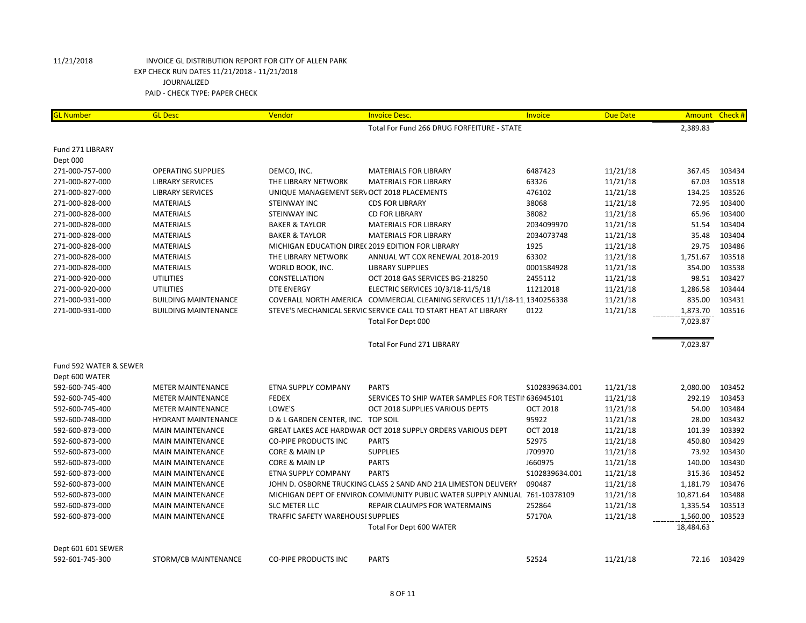| <b>GL Number</b>       | <b>GL Desc</b>              | Vendor                                           | <b>Invoice Desc.</b>                                                       | Invoice         | <b>Due Date</b> |           | Amount Check # |
|------------------------|-----------------------------|--------------------------------------------------|----------------------------------------------------------------------------|-----------------|-----------------|-----------|----------------|
|                        |                             |                                                  | Total For Fund 266 DRUG FORFEITURE - STATE                                 |                 |                 | 2,389.83  |                |
| Fund 271 LIBRARY       |                             |                                                  |                                                                            |                 |                 |           |                |
| Dept 000               |                             |                                                  |                                                                            |                 |                 |           |                |
| 271-000-757-000        | <b>OPERATING SUPPLIES</b>   | DEMCO, INC.                                      | <b>MATERIALS FOR LIBRARY</b>                                               | 6487423         | 11/21/18        | 367.45    | 103434         |
| 271-000-827-000        | <b>LIBRARY SERVICES</b>     | THE LIBRARY NETWORK                              | <b>MATERIALS FOR LIBRARY</b>                                               | 63326           | 11/21/18        | 67.03     | 103518         |
| 271-000-827-000        | <b>LIBRARY SERVICES</b>     | UNIQUE MANAGEMENT SERV OCT 2018 PLACEMENTS       |                                                                            | 476102          | 11/21/18        | 134.25    | 103526         |
| 271-000-828-000        | <b>MATERIALS</b>            | <b>STEINWAY INC</b>                              | <b>CDS FOR LIBRARY</b>                                                     | 38068           | 11/21/18        | 72.95     | 103400         |
| 271-000-828-000        | <b>MATERIALS</b>            | <b>STEINWAY INC</b>                              | <b>CD FOR LIBRARY</b>                                                      | 38082           | 11/21/18        | 65.96     | 103400         |
| 271-000-828-000        | <b>MATERIALS</b>            | <b>BAKER &amp; TAYLOR</b>                        | <b>MATERIALS FOR LIBRARY</b>                                               | 2034099970      | 11/21/18        | 51.54     | 103404         |
| 271-000-828-000        | <b>MATERIALS</b>            | <b>BAKER &amp; TAYLOR</b>                        | <b>MATERIALS FOR LIBRARY</b>                                               | 2034073748      | 11/21/18        | 35.48     | 103404         |
| 271-000-828-000        | <b>MATERIALS</b>            | MICHIGAN EDUCATION DIRE(2019 EDITION FOR LIBRARY |                                                                            | 1925            | 11/21/18        | 29.75     | 103486         |
| 271-000-828-000        | <b>MATERIALS</b>            | THE LIBRARY NETWORK                              | ANNUAL WT COX RENEWAL 2018-2019                                            | 63302           | 11/21/18        | 1,751.67  | 103518         |
| 271-000-828-000        | <b>MATERIALS</b>            | WORLD BOOK, INC.                                 | <b>LIBRARY SUPPLIES</b>                                                    | 0001584928      | 11/21/18        | 354.00    | 103538         |
| 271-000-920-000        | <b>UTILITIES</b>            | CONSTELLATION                                    | OCT 2018 GAS SERVICES BG-218250                                            | 2455112         | 11/21/18        | 98.51     | 103427         |
| 271-000-920-000        | <b>UTILITIES</b>            | <b>DTE ENERGY</b>                                | ELECTRIC SERVICES 10/3/18-11/5/18                                          | 11212018        | 11/21/18        | 1,286.58  | 103444         |
| 271-000-931-000        | <b>BUILDING MAINTENANCE</b> |                                                  | COVERALL NORTH AMERICA COMMERCIAL CLEANING SERVICES 11/1/18-11 1340256338  |                 | 11/21/18        | 835.00    | 103431         |
| 271-000-931-000        | <b>BUILDING MAINTENANCE</b> |                                                  | STEVE'S MECHANICAL SERVIC SERVICE CALL TO START HEAT AT LIBRARY            | 0122            | 11/21/18        | 1,873.70  | 103516         |
|                        |                             |                                                  | Total For Dept 000                                                         |                 |                 | 7,023.87  |                |
|                        |                             |                                                  | Total For Fund 271 LIBRARY                                                 |                 |                 | 7,023.87  |                |
| Fund 592 WATER & SEWER |                             |                                                  |                                                                            |                 |                 |           |                |
| Dept 600 WATER         |                             |                                                  |                                                                            |                 |                 |           |                |
| 592-600-745-400        | <b>METER MAINTENANCE</b>    | ETNA SUPPLY COMPANY                              | <b>PARTS</b>                                                               | S102839634.001  | 11/21/18        | 2,080.00  | 103452         |
| 592-600-745-400        | <b>METER MAINTENANCE</b>    | <b>FEDEX</b>                                     | SERVICES TO SHIP WATER SAMPLES FOR TESTII 636945101                        |                 | 11/21/18        | 292.19    | 103453         |
| 592-600-745-400        | <b>METER MAINTENANCE</b>    | LOWE'S                                           | OCT 2018 SUPPLIES VARIOUS DEPTS                                            | <b>OCT 2018</b> | 11/21/18        | 54.00     | 103484         |
| 592-600-748-000        | HYDRANT MAINTENANCE         | D & L GARDEN CENTER, INC. TOP SOIL               |                                                                            | 95922           | 11/21/18        | 28.00     | 103432         |
| 592-600-873-000        | <b>MAIN MAINTENANCE</b>     |                                                  | GREAT LAKES ACE HARDWAR OCT 2018 SUPPLY ORDERS VARIOUS DEPT                | <b>OCT 2018</b> | 11/21/18        | 101.39    | 103392         |
| 592-600-873-000        | <b>MAIN MAINTENANCE</b>     | <b>CO-PIPE PRODUCTS INC</b>                      | <b>PARTS</b>                                                               | 52975           | 11/21/18        | 450.80    | 103429         |
| 592-600-873-000        | <b>MAIN MAINTENANCE</b>     | <b>CORE &amp; MAIN LP</b>                        | <b>SUPPLIES</b>                                                            | J709970         | 11/21/18        | 73.92     | 103430         |
| 592-600-873-000        | <b>MAIN MAINTENANCE</b>     | CORE & MAIN LP                                   | <b>PARTS</b>                                                               | J660975         | 11/21/18        | 140.00    | 103430         |
| 592-600-873-000        | <b>MAIN MAINTENANCE</b>     | ETNA SUPPLY COMPANY                              | <b>PARTS</b>                                                               | S102839634.001  | 11/21/18        | 315.36    | 103452         |
| 592-600-873-000        | <b>MAIN MAINTENANCE</b>     |                                                  | JOHN D. OSBORNE TRUCKING CLASS 2 SAND AND 21A LIMESTON DELIVERY            | 090487          | 11/21/18        | 1,181.79  | 103476         |
| 592-600-873-000        | <b>MAIN MAINTENANCE</b>     |                                                  | MICHIGAN DEPT OF ENVIRON COMMUNITY PUBLIC WATER SUPPLY ANNUAL 761-10378109 |                 | 11/21/18        | 10,871.64 | 103488         |
| 592-600-873-000        | <b>MAIN MAINTENANCE</b>     | <b>SLC METER LLC</b>                             | REPAIR CLAUMPS FOR WATERMAINS                                              | 252864          | 11/21/18        | 1,335.54  | 103513         |
| 592-600-873-000        | <b>MAIN MAINTENANCE</b>     | TRAFFIC SAFETY WAREHOUSE SUPPLIES                |                                                                            | 57170A          | 11/21/18        | 1,560.00  | 103523         |
|                        |                             |                                                  | Total For Dept 600 WATER                                                   |                 |                 | 18,484.63 |                |
| Dept 601 601 SEWER     |                             |                                                  |                                                                            |                 |                 |           |                |
| 592-601-745-300        | STORM/CB MAINTENANCE        | <b>CO-PIPE PRODUCTS INC</b>                      | <b>PARTS</b>                                                               | 52524           | 11/21/18        |           | 72.16 103429   |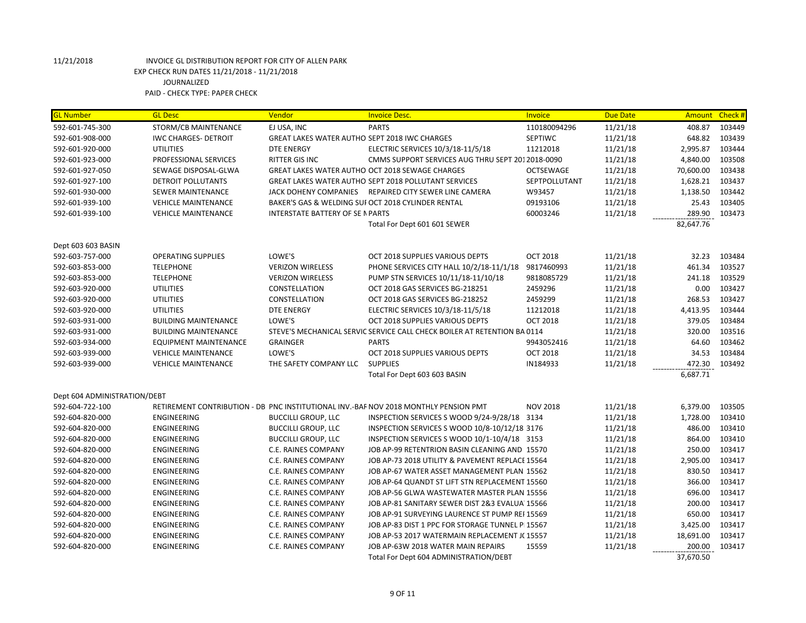| <b>GL Number</b>             | <b>GL Desc</b>               | Vendor                                        | <b>Invoice Desc.</b>                                                                 | Invoice          | <b>Due Date</b> | <b>Amount</b> | Check # |
|------------------------------|------------------------------|-----------------------------------------------|--------------------------------------------------------------------------------------|------------------|-----------------|---------------|---------|
| 592-601-745-300              | STORM/CB MAINTENANCE         | EJ USA, INC                                   | <b>PARTS</b>                                                                         | 110180094296     | 11/21/18        | 408.87        | 103449  |
| 592-601-908-000              | <b>IWC CHARGES- DETROIT</b>  | GREAT LAKES WATER AUTHO SEPT 2018 IWC CHARGES |                                                                                      | SEPTIWC          | 11/21/18        | 648.82        | 103439  |
| 592-601-920-000              | <b>UTILITIES</b>             | <b>DTE ENERGY</b>                             | ELECTRIC SERVICES 10/3/18-11/5/18                                                    | 11212018         | 11/21/18        | 2,995.87      | 103444  |
| 592-601-923-000              | PROFESSIONAL SERVICES        | <b>RITTER GIS INC</b>                         | CMMS SUPPORT SERVICES AUG THRU SEPT 2012018-0090                                     |                  | 11/21/18        | 4,840.00      | 103508  |
| 592-601-927-050              | SEWAGE DISPOSAL-GLWA         |                                               | GREAT LAKES WATER AUTHO OCT 2018 SEWAGE CHARGES                                      | <b>OCTSEWAGE</b> | 11/21/18        | 70,600.00     | 103438  |
| 592-601-927-100              | DETROIT POLLUTANTS           |                                               | <b>GREAT LAKES WATER AUTHO SEPT 2018 POLLUTANT SERVICES</b>                          | SEPTPOLLUTANT    | 11/21/18        | 1,628.21      | 103437  |
| 592-601-930-000              | <b>SEWER MAINTENANCE</b>     |                                               | JACK DOHENY COMPANIES REPAIRED CITY SEWER LINE CAMERA                                | W93457           | 11/21/18        | 1,138.50      | 103442  |
| 592-601-939-100              | <b>VEHICLE MAINTENANCE</b>   |                                               | BAKER'S GAS & WELDING SUI OCT 2018 CYLINDER RENTAL                                   | 09193106         | 11/21/18        | 25.43         | 103405  |
| 592-601-939-100              | <b>VEHICLE MAINTENANCE</b>   | <b>INTERSTATE BATTERY OF SE N PARTS</b>       |                                                                                      | 60003246         | 11/21/18        | 289.90        | 103473  |
|                              |                              |                                               | Total For Dept 601 601 SEWER                                                         |                  |                 | 82,647.76     |         |
| Dept 603 603 BASIN           |                              |                                               |                                                                                      |                  |                 |               |         |
| 592-603-757-000              | <b>OPERATING SUPPLIES</b>    | LOWE'S                                        | OCT 2018 SUPPLIES VARIOUS DEPTS                                                      | <b>OCT 2018</b>  | 11/21/18        | 32.23         | 103484  |
| 592-603-853-000              | <b>TELEPHONE</b>             | <b>VERIZON WIRELESS</b>                       | PHONE SERVICES CITY HALL 10/2/18-11/1/18                                             | 9817460993       | 11/21/18        | 461.34        | 103527  |
| 592-603-853-000              | <b>TELEPHONE</b>             | <b>VERIZON WIRELESS</b>                       | PUMP STN SERVICES 10/11/18-11/10/18                                                  | 9818085729       | 11/21/18        | 241.18        | 103529  |
| 592-603-920-000              | <b>UTILITIES</b>             | CONSTELLATION                                 | OCT 2018 GAS SERVICES BG-218251                                                      | 2459296          | 11/21/18        | 0.00          | 103427  |
| 592-603-920-000              | <b>UTILITIES</b>             | CONSTELLATION                                 | OCT 2018 GAS SERVICES BG-218252                                                      | 2459299          | 11/21/18        | 268.53        | 103427  |
| 592-603-920-000              | <b>UTILITIES</b>             | <b>DTE ENERGY</b>                             | ELECTRIC SERVICES 10/3/18-11/5/18                                                    | 11212018         | 11/21/18        | 4,413.95      | 103444  |
| 592-603-931-000              | <b>BUILDING MAINTENANCE</b>  | LOWE'S                                        | OCT 2018 SUPPLIES VARIOUS DEPTS                                                      | <b>OCT 2018</b>  | 11/21/18        | 379.05        | 103484  |
| 592-603-931-000              | <b>BUILDING MAINTENANCE</b>  |                                               | STEVE'S MECHANICAL SERVIC SERVICE CALL CHECK BOILER AT RETENTION BA 0114             |                  | 11/21/18        | 320.00        | 103516  |
| 592-603-934-000              | <b>EQUIPMENT MAINTENANCE</b> | <b>GRAINGER</b>                               | <b>PARTS</b>                                                                         | 9943052416       | 11/21/18        | 64.60         | 103462  |
| 592-603-939-000              | <b>VEHICLE MAINTENANCE</b>   | LOWE'S                                        | OCT 2018 SUPPLIES VARIOUS DEPTS                                                      | <b>OCT 2018</b>  | 11/21/18        | 34.53         | 103484  |
| 592-603-939-000              | <b>VEHICLE MAINTENANCE</b>   | THE SAFETY COMPANY LLC                        | <b>SUPPLIES</b>                                                                      | IN184933         | 11/21/18        | 472.30        | 103492  |
|                              |                              |                                               | Total For Dept 603 603 BASIN                                                         |                  |                 | 6,687.71      |         |
| Dept 604 ADMINISTRATION/DEBT |                              |                                               |                                                                                      |                  |                 |               |         |
| 592-604-722-100              |                              |                                               | RETIREMENT CONTRIBUTION - DB PNC INSTITUTIONAL INV.-BAF NOV 2018 MONTHLY PENSION PMT | <b>NOV 2018</b>  | 11/21/18        | 6,379.00      | 103505  |
| 592-604-820-000              | <b>ENGINEERING</b>           | <b>BUCCILLI GROUP, LLC</b>                    | INSPECTION SERVICES S WOOD 9/24-9/28/18 3134                                         |                  | 11/21/18        | 1,728.00      | 103410  |
| 592-604-820-000              | ENGINEERING                  | <b>BUCCILLI GROUP, LLC</b>                    | INSPECTION SERVICES S WOOD 10/8-10/12/18 3176                                        |                  | 11/21/18        | 486.00        | 103410  |
| 592-604-820-000              | ENGINEERING                  | <b>BUCCILLI GROUP, LLC</b>                    | INSPECTION SERVICES S WOOD 10/1-10/4/18 3153                                         |                  | 11/21/18        | 864.00        | 103410  |
| 592-604-820-000              | ENGINEERING                  | C.E. RAINES COMPANY                           | JOB AP-99 RETENTRION BASIN CLEANING AND 15570                                        |                  | 11/21/18        | 250.00        | 103417  |
| 592-604-820-000              | ENGINEERING                  | C.E. RAINES COMPANY                           | JOB AP-73 2018 UTILITY & PAVEMENT REPLACE 15564                                      |                  | 11/21/18        | 2,905.00      | 103417  |
| 592-604-820-000              | ENGINEERING                  | C.E. RAINES COMPANY                           | JOB AP-67 WATER ASSET MANAGEMENT PLAN 15562                                          |                  | 11/21/18        | 830.50        | 103417  |
| 592-604-820-000              | ENGINEERING                  | C.E. RAINES COMPANY                           | JOB AP-64 QUANDT ST LIFT STN REPLACEMENT 15560                                       |                  | 11/21/18        | 366.00        | 103417  |
| 592-604-820-000              | ENGINEERING                  | C.E. RAINES COMPANY                           | JOB AP-56 GLWA WASTEWATER MASTER PLAN 15556                                          |                  | 11/21/18        | 696.00        | 103417  |
| 592-604-820-000              | <b>ENGINEERING</b>           | C.E. RAINES COMPANY                           | JOB AP-81 SANITARY SEWER DIST 2&3 EVALUA 15566                                       |                  | 11/21/18        | 200.00        | 103417  |
| 592-604-820-000              | ENGINEERING                  | C.E. RAINES COMPANY                           | JOB AP-91 SURVEYING LAURENCE ST PUMP REI 15569                                       |                  | 11/21/18        | 650.00        | 103417  |
| 592-604-820-000              | ENGINEERING                  | C.E. RAINES COMPANY                           | JOB AP-83 DIST 1 PPC FOR STORAGE TUNNEL PI 15567                                     |                  | 11/21/18        | 3,425.00      | 103417  |
| 592-604-820-000              | <b>ENGINEERING</b>           | <b>C.E. RAINES COMPANY</b>                    | JOB AP-53 2017 WATERMAIN REPLACEMENT JC 15557                                        |                  | 11/21/18        | 18,691.00     | 103417  |
| 592-604-820-000              | <b>ENGINEERING</b>           | C.E. RAINES COMPANY                           | JOB AP-63W 2018 WATER MAIN REPAIRS                                                   | 15559            | 11/21/18        | 200.00        | 103417  |
|                              |                              |                                               | Total For Dept 604 ADMINISTRATION/DEBT                                               |                  |                 | 37,670.50     |         |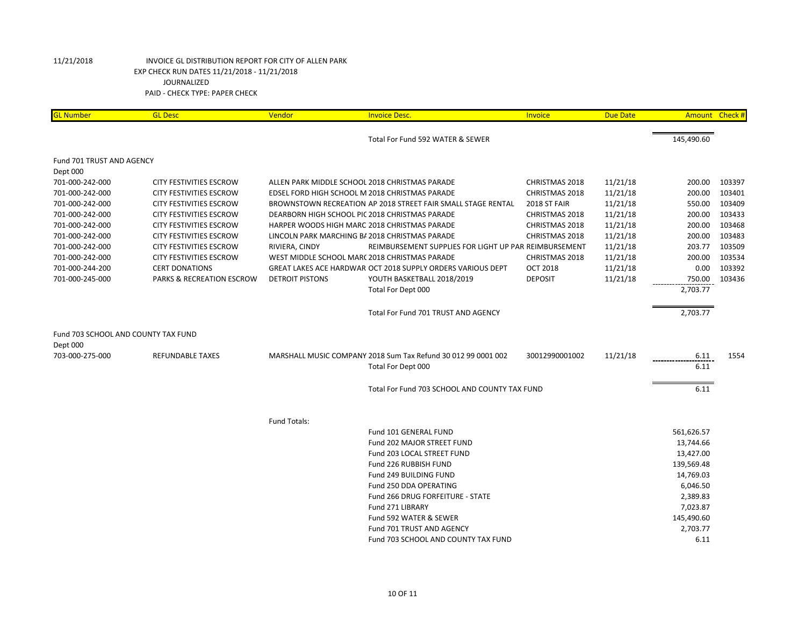| <b>GL Number</b>                    | <b>GL Desc</b>                 | Vendor                                         | <b>Invoice Desc.</b>                                          | Invoice         | <b>Due Date</b> |            | Amount Check # |
|-------------------------------------|--------------------------------|------------------------------------------------|---------------------------------------------------------------|-----------------|-----------------|------------|----------------|
|                                     |                                |                                                | Total For Fund 592 WATER & SEWER                              |                 |                 | 145,490.60 |                |
|                                     |                                |                                                |                                                               |                 |                 |            |                |
| Fund 701 TRUST AND AGENCY           |                                |                                                |                                                               |                 |                 |            |                |
| Dept 000                            |                                |                                                |                                                               |                 |                 |            |                |
| 701-000-242-000                     | <b>CITY FESTIVITIES ESCROW</b> | ALLEN PARK MIDDLE SCHOOL 2018 CHRISTMAS PARADE |                                                               | CHRISTMAS 2018  | 11/21/18        | 200.00     | 103397         |
| 701-000-242-000                     | <b>CITY FESTIVITIES ESCROW</b> | EDSEL FORD HIGH SCHOOL M 2018 CHRISTMAS PARADE |                                                               | CHRISTMAS 2018  | 11/21/18        | 200.00     | 103401         |
| 701-000-242-000                     | <b>CITY FESTIVITIES ESCROW</b> |                                                | BROWNSTOWN RECREATION AP 2018 STREET FAIR SMALL STAGE RENTAL  | 2018 ST FAIR    | 11/21/18        | 550.00     | 103409         |
| 701-000-242-000                     | CITY FESTIVITIES ESCROW        | DEARBORN HIGH SCHOOL PIC 2018 CHRISTMAS PARADE |                                                               | CHRISTMAS 2018  | 11/21/18        | 200.00     | 103433         |
| 701-000-242-000                     | <b>CITY FESTIVITIES ESCROW</b> | HARPER WOODS HIGH MARC 2018 CHRISTMAS PARADE   |                                                               | CHRISTMAS 2018  | 11/21/18        | 200.00     | 103468         |
| 701-000-242-000                     | CITY FESTIVITIES ESCROW        | LINCOLN PARK MARCHING B/ 2018 CHRISTMAS PARADE |                                                               | CHRISTMAS 2018  | 11/21/18        | 200.00     | 103483         |
| 701-000-242-000                     | <b>CITY FESTIVITIES ESCROW</b> | RIVIERA, CINDY                                 | REIMBURSEMENT SUPPLIES FOR LIGHT UP PAR REIMBURSEMENT         |                 | 11/21/18        | 203.77     | 103509         |
| 701-000-242-000                     | <b>CITY FESTIVITIES ESCROW</b> | WEST MIDDLE SCHOOL MARC 2018 CHRISTMAS PARADE  |                                                               | CHRISTMAS 2018  | 11/21/18        | 200.00     | 103534         |
| 701-000-244-200                     | <b>CERT DONATIONS</b>          |                                                | GREAT LAKES ACE HARDWAR OCT 2018 SUPPLY ORDERS VARIOUS DEPT   | <b>OCT 2018</b> | 11/21/18        | 0.00       | 103392         |
| 701-000-245-000                     | PARKS & RECREATION ESCROW      | <b>DETROIT PISTONS</b>                         | YOUTH BASKETBALL 2018/2019                                    | <b>DEPOSIT</b>  | 11/21/18        | 750.00     | 103436         |
|                                     |                                |                                                | Total For Dept 000                                            |                 |                 | 2,703.77   |                |
|                                     |                                |                                                | Total For Fund 701 TRUST AND AGENCY                           |                 |                 | 2,703.77   |                |
| Fund 703 SCHOOL AND COUNTY TAX FUND |                                |                                                |                                                               |                 |                 |            |                |
| Dept 000                            |                                |                                                |                                                               |                 |                 |            |                |
| 703-000-275-000                     | REFUNDABLE TAXES               |                                                | MARSHALL MUSIC COMPANY 2018 Sum Tax Refund 30 012 99 0001 002 | 30012990001002  | 11/21/18        | 6.11       | 1554           |
|                                     |                                |                                                | Total For Dept 000                                            |                 |                 | 6.11       |                |
|                                     |                                |                                                |                                                               |                 |                 |            |                |
|                                     |                                |                                                | Total For Fund 703 SCHOOL AND COUNTY TAX FUND                 |                 |                 | 6.11       |                |
|                                     |                                |                                                |                                                               |                 |                 |            |                |
|                                     |                                | Fund Totals:                                   |                                                               |                 |                 |            |                |
|                                     |                                |                                                | Fund 101 GENERAL FUND                                         |                 |                 | 561,626.57 |                |
|                                     |                                |                                                | Fund 202 MAJOR STREET FUND                                    |                 |                 | 13,744.66  |                |
|                                     |                                |                                                | Fund 203 LOCAL STREET FUND                                    |                 |                 | 13,427.00  |                |
|                                     |                                |                                                | Fund 226 RUBBISH FUND                                         |                 |                 | 139,569.48 |                |
|                                     |                                |                                                | Fund 249 BUILDING FUND                                        |                 |                 | 14,769.03  |                |
|                                     |                                |                                                | Fund 250 DDA OPERATING                                        |                 |                 | 6,046.50   |                |
|                                     |                                |                                                | Fund 266 DRUG FORFEITURE - STATE                              |                 |                 | 2,389.83   |                |
|                                     |                                |                                                | Fund 271 LIBRARY                                              |                 |                 | 7,023.87   |                |
|                                     |                                |                                                | Fund 592 WATER & SEWER                                        |                 |                 | 145,490.60 |                |
|                                     |                                |                                                | Fund 701 TRUST AND AGENCY                                     |                 |                 | 2,703.77   |                |
|                                     |                                |                                                | Fund 703 SCHOOL AND COUNTY TAX FUND                           |                 |                 | 6.11       |                |